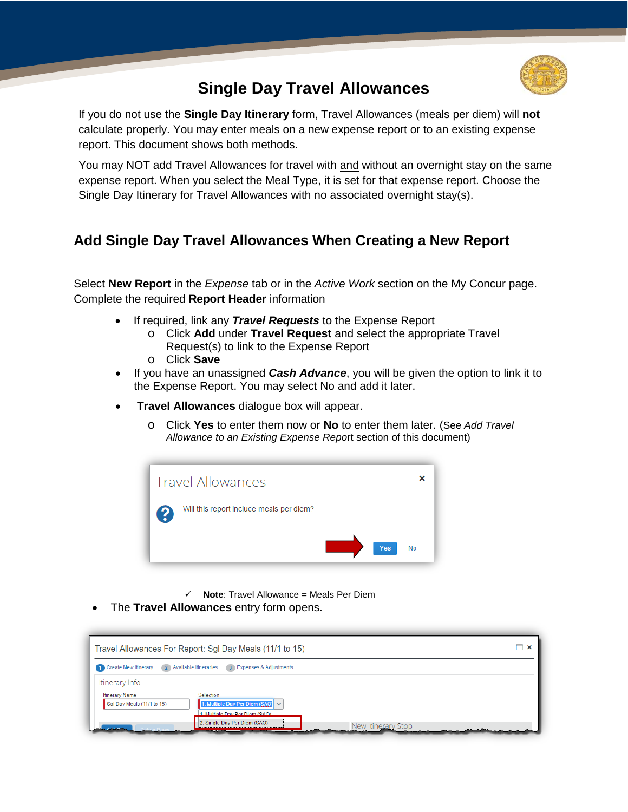

## **Single Day Travel Allowances**

If you do not use the **Single Day Itinerary** form, Travel Allowances (meals per diem) will **not**  calculate properly. You may enter meals on a new expense report or to an existing expense report. This document shows both methods.

You may NOT add Travel Allowances for travel with and without an overnight stay on the same expense report. When you select the Meal Type, it is set for that expense report. Choose the Single Day Itinerary for Travel Allowances with no associated overnight stay(s).

## **Add Single Day Travel Allowances When Creating a New Report**

Select **New Report** in the *Expense* tab or in the *Active Work* section on the My Concur page. Complete the required **Report Header** information

- If required, link any *Travel Requests* to the Expense Report
	- o Click **Add** under **Travel Request** and select the appropriate Travel Request(s) to link to the Expense Report
	- o Click **Save**
- If you have an unassigned *Cash Advance*, you will be given the option to link it to the Expense Report. You may select No and add it later.
- **Travel Allowances** dialogue box will appear.
	- o Click **Yes** to enter them now or **No** to enter them later. (See *Add Travel Allowance to an Existing Expense Repo*rt section of this document)



- $\checkmark$  **Note**: Travel Allowance = Meals Per Diem
- The **Travel Allowances** entry form opens.

|                                                                                             | Travel Allowances For Report: Sgl Day Meals (11/1 to 15)                                                       |                    | – × |
|---------------------------------------------------------------------------------------------|----------------------------------------------------------------------------------------------------------------|--------------------|-----|
| Create New Itinerary                                                                        | 2 Available Itineraries<br>3 Expenses & Adjustments                                                            |                    |     |
| Itinerary Info<br><b>Itinerary Name</b><br>Sgl Day Meals (11/1 to 15)<br><b>Advertising</b> | Selection<br>1. Multiple Day Per Diem (SAO) V<br>1 Multiple Day Per Diem (SAO)<br>2. Single Day Per Diem (SAO) | New Itinerary Stop |     |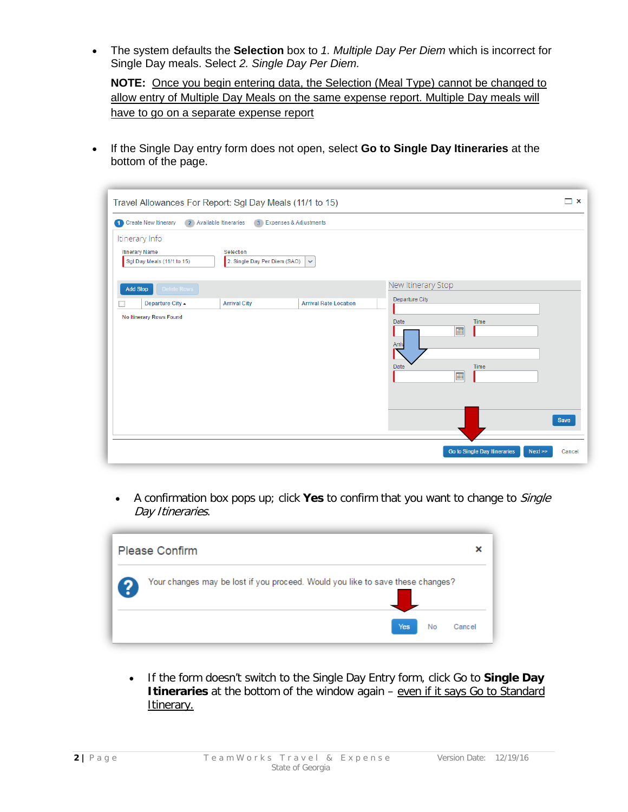• The system defaults the **Selection** box to *1. Multiple Day Per Diem* which is incorrect for Single Day meals. Select *2. Single Day Per Diem.*

**NOTE:** Once you begin entering data, the Selection (Meal Type) cannot be changed to allow entry of Multiple Day Meals on the same expense report. Multiple Day meals will have to go on a separate expense report

• If the Single Day entry form does not open, select **Go to Single Day Itineraries** at the bottom of the page.

| Travel Allowances For Report: Sgl Day Meals (11/1 to 15)                                                                                                                                                                               | $\boldsymbol{\mathsf{x}}$ |
|----------------------------------------------------------------------------------------------------------------------------------------------------------------------------------------------------------------------------------------|---------------------------|
| Create New Itinerary<br>2 Available Itineraries<br>3 Expenses & Adjustments                                                                                                                                                            |                           |
| Itinerary Info<br><b>Itinerary Name</b><br>Selection<br>2. Single Day Per Diem (SAO)<br>Sgl Day Meals (11/1 to 15)<br>$\checkmark$                                                                                                     |                           |
| New Itinerary Stop<br>Delete Rows<br><b>Add Stop</b><br>Departure City<br><b>Departure City ▲</b><br><b>Arrival City</b><br><b>Arrival Rate Location</b><br>No Itinerary Rows Found<br>Time<br>Date<br>画<br>Arriv<br>Time<br>Date<br>画 | <b>Save</b>               |
| Go to Single Day Itineraries<br>Next                                                                                                                                                                                                   | Cancel                    |

• A confirmation box pops up; click **Yes** to confirm that you want to change to Single Day Itineraries.

| <b>Please Confirm</b>                                                          |    | ×      |
|--------------------------------------------------------------------------------|----|--------|
| Your changes may be lost if you proceed. Would you like to save these changes? |    |        |
| Yes                                                                            | No | Cancel |

• If the form doesn't switch to the Single Day Entry form, click Go to **Single Day Itineraries** at the bottom of the window again – even if it says Go to Standard Itinerary.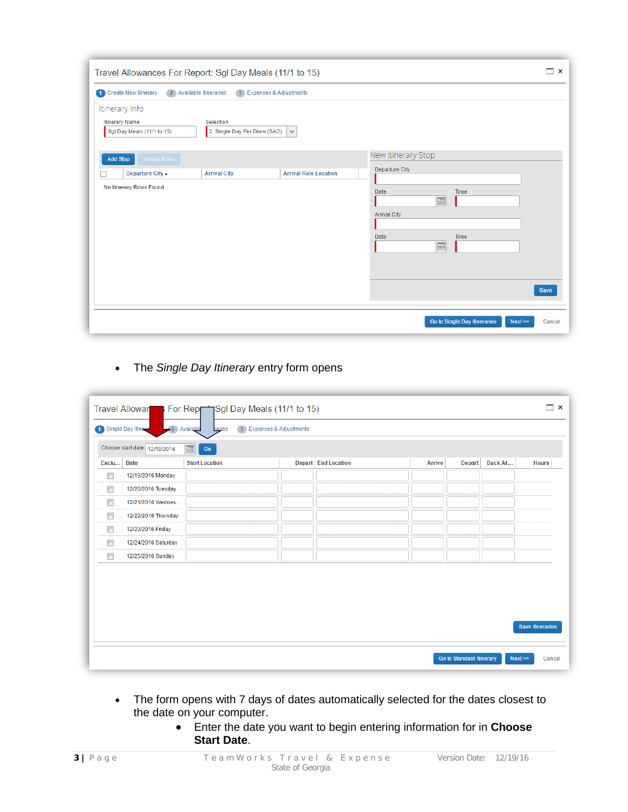| Travel Allowances For Report: Sgl Day Meals (11/1 to 15)                                                                                    |                                                                                                                    | $\Box$ $\times$ |
|---------------------------------------------------------------------------------------------------------------------------------------------|--------------------------------------------------------------------------------------------------------------------|-----------------|
| 2 Available Itineraries<br><b>1</b> Create New Itinerary<br>3 Expenses & Adjustments                                                        |                                                                                                                    |                 |
| Itinerary Info<br><b>Itinerary Name</b><br>Selection<br>Sgl Day Meals (11/1 to 15)<br>2. Single Day Per Diem (SAO)<br>$\checkmark$          |                                                                                                                    |                 |
| Delete Rows<br><b>Add Stop</b><br><b>Departure City ▲</b><br><b>Arrival City</b><br><b>Arrival Rate Location</b><br>No Itinerary Rows Found | New Itinerary Stop<br>Departure City<br>Date<br>Time<br>$\blacksquare$<br><b>Arrival City</b><br>Date<br>Time<br>画 | Save            |
|                                                                                                                                             | Go to Single Day Itineraries<br>Next                                                                               | Cancel          |

• The *Single Day Itinerary* entry form opens

|        |                                                             | Travel Allowar For Repriggl Day Meals (11/1 to 15) |                          |                            |               |                                 |         | $\Box$ x                |
|--------|-------------------------------------------------------------|----------------------------------------------------|--------------------------|----------------------------|---------------|---------------------------------|---------|-------------------------|
|        | -2 Available<br>1 Single Day Itinera                        | raries                                             | 3 Expenses & Adjustments |                            |               |                                 |         |                         |
|        | Choose start date 12/19/2016<br>囲<br>$\mathop{\mathsf{Go}}$ |                                                    |                          |                            |               |                                 |         |                         |
| Exclu  | <b>Date</b>                                                 | <b>Start Location</b>                              |                          | <b>Depart</b> End Location | <b>Arrive</b> | Depart                          | Back At | <b>Hours</b>            |
| $\Box$ | 12/19/2016 Monday                                           |                                                    |                          |                            |               |                                 |         |                         |
| $\Box$ | 12/20/2016 Tuesday                                          |                                                    |                          |                            |               |                                 |         |                         |
| $\Box$ | 12/21/2016 Wednes                                           |                                                    |                          |                            |               |                                 |         |                         |
| $\Box$ | 12/22/2016 Thursday                                         |                                                    |                          |                            |               |                                 |         |                         |
| $\Box$ | 12/23/2016 Friday                                           |                                                    |                          |                            |               |                                 |         |                         |
| $\Box$ | 12/24/2016 Saturday                                         |                                                    |                          |                            |               |                                 |         |                         |
| $\Box$ | 12/25/2016 Sunday                                           |                                                    |                          |                            |               |                                 |         |                         |
|        |                                                             |                                                    |                          |                            |               |                                 |         |                         |
|        |                                                             |                                                    |                          |                            |               |                                 |         | <b>Save Itineraries</b> |
|        |                                                             |                                                    |                          |                            |               | <b>Go to Standard Itinerary</b> | Next    | Cancel                  |

- The form opens with 7 days of dates automatically selected for the dates closest to the date on your computer.
	- Enter the date you want to begin entering information for in **Choose Start Date**.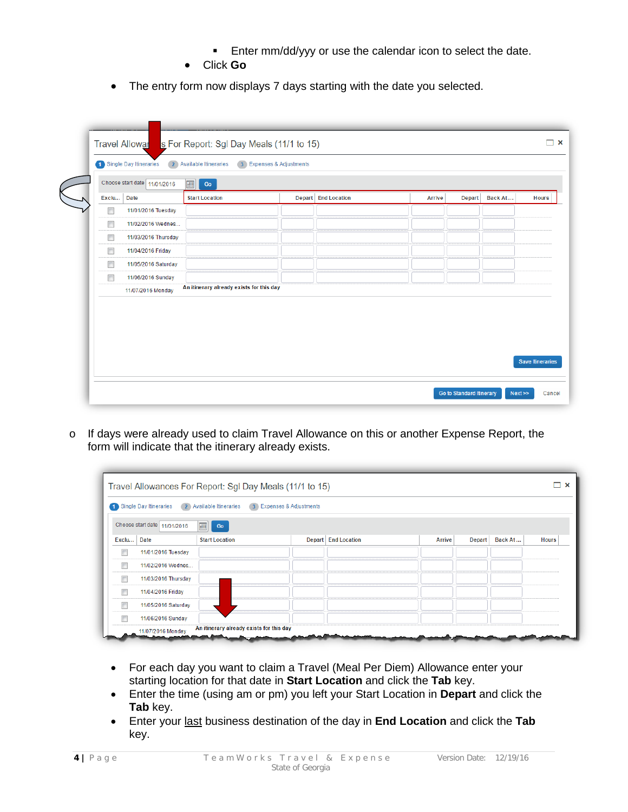- **Enter mm/dd/yyy or use the calendar icon to select the date.**
- Click **Go**
- The entry form now displays 7 days starting with the date you selected.

|        | Choose start date 11/01/2016 | 2 Available Itineraries<br>画<br>Go       | 3 Expenses & Adjustments |                     |               |        |         |                         |
|--------|------------------------------|------------------------------------------|--------------------------|---------------------|---------------|--------|---------|-------------------------|
| Exclu  | <b>Date</b>                  | <b>Start Location</b>                    |                          | Depart End Location | <b>Arrive</b> | Depart | Back At | <b>Hours</b>            |
| $\Box$ | 11/01/2016 Tuesday           |                                          |                          |                     |               |        |         |                         |
| $\Box$ | 11/02/2016 Wednes            |                                          |                          |                     |               |        |         |                         |
| $\Box$ | 11/03/2016 Thursday          |                                          |                          |                     |               |        |         |                         |
| $\Box$ | 11/04/2016 Friday            |                                          |                          |                     |               |        |         |                         |
| $\Box$ | 11/05/2016 Saturday          |                                          |                          |                     |               |        |         |                         |
| $\Box$ | 11/06/2016 Sunday            |                                          |                          |                     |               |        |         |                         |
|        | 11/07/2016 Monday            | An itinerary already exists for this day |                          |                     |               |        |         |                         |
|        |                              |                                          |                          |                     |               |        |         | <b>Save Itineraries</b> |

o If days were already used to claim Travel Allowance on this or another Expense Report, the form will indicate that the itinerary already exists.

|       | Single Day Itineraries<br>$\sqrt{2}$ | <b>Available Itineraries</b> | 3 Expenses & Adjustments |                     |        |               |         |              |
|-------|--------------------------------------|------------------------------|--------------------------|---------------------|--------|---------------|---------|--------------|
|       | Choose start date 11/01/2016         | 画<br>Go                      |                          |                     |        |               |         |              |
| Exclu | <b>Date</b>                          | <b>Start Location</b>        |                          | Depart End Location | Arrive | <b>Depart</b> | Back At | <b>Hours</b> |
|       | 11/01/2016 Tuesday                   |                              |                          |                     |        |               |         |              |
|       | 11/02/2016 Wednes                    |                              |                          |                     |        |               |         |              |
|       | 11/03/2016 Thursday                  |                              |                          |                     |        |               |         |              |
|       | 11/04/2016 Friday                    |                              |                          |                     |        |               |         |              |
|       | 11/05/2016 Saturday                  |                              |                          |                     |        |               |         |              |
|       | 11/06/2016 Sunday                    |                              |                          |                     |        |               |         |              |

- For each day you want to claim a Travel (Meal Per Diem) Allowance enter your starting location for that date in **Start Location** and click the **Tab** key.
- Enter the time (using am or pm) you left your Start Location in **Depart** and click the **Tab** key.
- Enter your last business destination of the day in **End Location** and click the **Tab** key.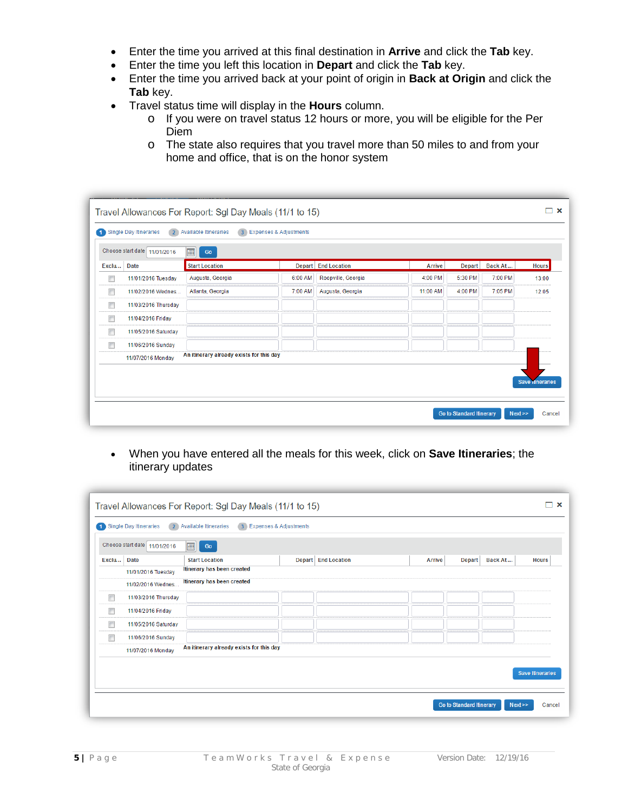- Enter the time you arrived at this final destination in **Arrive** and click the **Tab** key.
- Enter the time you left this location in **Depart** and click the **Tab** key.
- Enter the time you arrived back at your point of origin in **Back at Origin** and click the **Tab** key.
- Travel status time will display in the **Hours** column.
	- o If you were on travel status 12 hours or more, you will be eligible for the Per Diem
	- o The state also requires that you travel more than 50 miles to and from your home and office, that is on the honor system

|        | Single Day Itineraries<br>$\overline{2}$ | <b>Available Itineraries</b>             | 3 Expenses & Adjustments |                     |               |         |         |                        |
|--------|------------------------------------------|------------------------------------------|--------------------------|---------------------|---------------|---------|---------|------------------------|
|        | Choose start date 11/01/2016             | <b>empt</b><br>Go                        |                          |                     |               |         |         |                        |
| Exclu  | <b>Date</b>                              | <b>Start Location</b>                    |                          | Depart End Location | <b>Arrive</b> | Depart  | Back At | <b>Hours</b>           |
| $\Box$ | 11/01/2016 Tuesday                       | Augusta, Georgia                         | 6:00 AM                  | Roopville, Georgia  | 4:00 PM       | 5:30 PM | 7:00 PM | 13:00                  |
| $\Box$ | 11/02/2016 Wednes                        | Atlanta, Georgia                         | 7:00 AM                  | Augusta, Georgia    | 11:00 AM      | 4:00 PM | 7:05 PM | 12:05                  |
| $\Box$ | 11/03/2016 Thursday                      |                                          |                          |                     |               |         |         |                        |
| $\Box$ | 11/04/2016 Friday                        |                                          |                          |                     |               |         |         |                        |
| $\Box$ | 11/05/2016 Saturday                      |                                          |                          |                     |               |         |         |                        |
| $\Box$ | 11/06/2016 Sunday                        |                                          |                          |                     |               |         |         |                        |
|        | 11/07/2016 Monday                        | An itinerary already exists for this day |                          |                     |               |         |         |                        |
|        |                                          |                                          |                          |                     |               |         |         |                        |
|        |                                          |                                          |                          |                     |               |         |         | <b>Save Inneraries</b> |

• When you have entered all the meals for this week, click on **Save Itineraries**; the itinerary updates

|        |                                          | Travel Allowances For Report: Sgl Day Meals (11/1 to 15) |                          |                       |               |                                 |         | $\boldsymbol{\mathsf{x}}$ |
|--------|------------------------------------------|----------------------------------------------------------|--------------------------|-----------------------|---------------|---------------------------------|---------|---------------------------|
|        | Single Day Itineraries<br>$\overline{2}$ | <b>Available Itineraries</b>                             | 3 Expenses & Adjustments |                       |               |                                 |         |                           |
|        | Choose start date 11/01/2016             | 画<br>Go                                                  |                          |                       |               |                                 |         |                           |
| Exclu  | <b>Date</b>                              | <b>Start Location</b>                                    |                          | Depart   End Location | <b>Arrive</b> | <b>Depart</b>                   | Back At | <b>Hours</b>              |
|        | 11/01/2016 Tuesday                       | Itinerary has been created                               |                          |                       |               |                                 |         |                           |
|        | 11/02/2016 Wednes                        | Itinerary has been created                               |                          |                       |               |                                 |         |                           |
| $\Box$ | 11/03/2016 Thursday                      |                                                          |                          |                       |               |                                 |         |                           |
| $\Box$ | 11/04/2016 Friday                        |                                                          |                          |                       |               |                                 |         |                           |
| $\Box$ | 11/05/2016 Saturday                      |                                                          |                          |                       |               |                                 |         |                           |
| $\Box$ | 11/06/2016 Sunday                        |                                                          |                          |                       |               |                                 |         |                           |
|        | 11/07/2016 Monday                        | An itinerary already exists for this day                 |                          |                       |               |                                 |         |                           |
|        |                                          |                                                          |                          |                       |               |                                 |         | <b>Save Itineraries</b>   |
|        |                                          |                                                          |                          |                       |               | <b>Go to Standard Itinerary</b> | Next    | Cancel                    |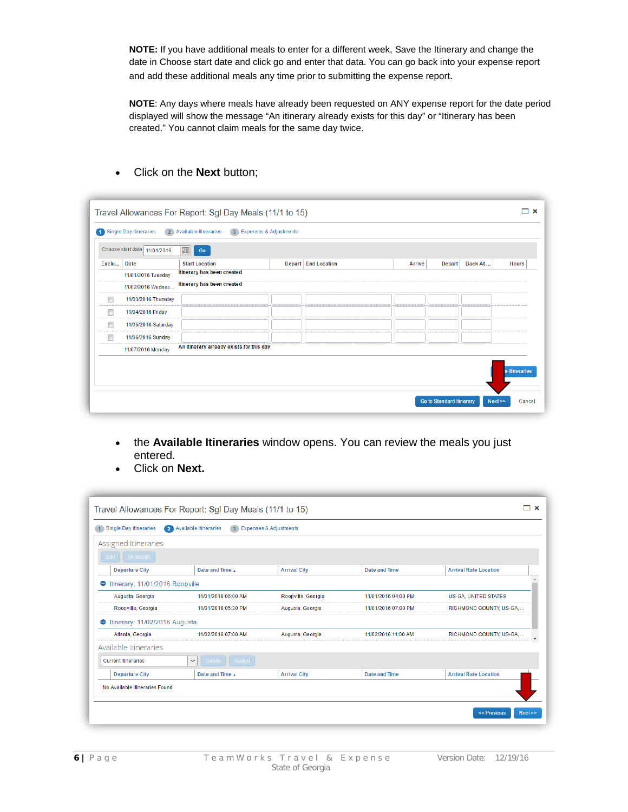**NOTE:** If you have additional meals to enter for a different week, Save the Itinerary and change the date in Choose start date and click go and enter that data. You can go back into your expense report and add these additional meals any time prior to submitting the expense report.

**NOTE**: Any days where meals have already been requested on ANY expense report for the date period displayed will show the message "An itinerary already exists for this day" or "Itinerary has been created." You cannot claim meals for the same day twice.

| О                    | Single Day Itineraries<br>$\overline{2}$<br>Choose start date 11/01/2016 | <b>Available Itineraries</b>             | 3 Expenses & Adjustments |                     |               |               |         |               |
|----------------------|--------------------------------------------------------------------------|------------------------------------------|--------------------------|---------------------|---------------|---------------|---------|---------------|
| Exclu                | <b>Date</b>                                                              | ⊞<br>Go<br><b>Start Location</b>         |                          | Depart End Location | <b>Arrive</b> | <b>Depart</b> | Back At | <b>Hours</b>  |
|                      | 11/01/2016 Tuesday                                                       | Itinerary has been created               |                          |                     |               |               |         |               |
|                      | 11/02/2016 Wednes                                                        | Itinerary has been created               |                          |                     |               |               |         |               |
| $\qquad \qquad \Box$ | 11/03/2016 Thursday                                                      |                                          |                          |                     |               |               |         |               |
| $\Box$               | 11/04/2016 Friday                                                        |                                          |                          |                     |               |               |         |               |
| $\Box$               | 11/05/2016 Saturday                                                      |                                          |                          |                     |               |               |         |               |
| $\Box$               | 11/06/2016 Sunday                                                        |                                          |                          |                     |               |               |         |               |
|                      | 11/07/2016 Monday                                                        | An itinerary already exists for this day |                          |                     |               |               |         |               |
|                      |                                                                          |                                          |                          |                     |               |               |         | e Itineraries |

• Click on the **Next** button;

- the **Available Itineraries** window opens. You can review the meals you just entered.
- Click on **Next.**

| Single Day Itineraries<br>Ω                | <b>Available Itineraries</b>  | <b>Expenses &amp; Adjustments</b> |                     |                              |
|--------------------------------------------|-------------------------------|-----------------------------------|---------------------|------------------------------|
| Assigned Itineraries                       |                               |                                   |                     |                              |
| Edit Unassign                              |                               |                                   |                     |                              |
| <b>Departure City</b>                      | Date and Time                 | <b>Arrival City</b>               | Date and Time       | <b>Arrival Rate Location</b> |
| Itinerary: 11/01/2016 Roopville<br>0       |                               |                                   |                     |                              |
| Augusta, Georgia                           | 11/01/2016 06:00 AM           | Roopville, Georgia                | 11/01/2016 04:00 PM | US-GA, UNITED STATES         |
| Roopville, Georgia                         | 11/01/2016 05:30 PM           | Augusta, Georgia                  | 11/01/2016 07:00 PM | RICHMOND COUNTY, US-GA       |
| Itinerary: 11/02/2016 Augusta<br>$\bullet$ |                               |                                   |                     |                              |
| Atlanta, Georgia                           | 11/02/2016 07:00 AM           | Augusta, Georgia                  | 11/02/2016 11:00 AM | RICHMOND COUNTY, US-GA       |
| Available Itineraries                      |                               |                                   |                     |                              |
| <b>Current Itineraries</b>                 | Delete Assign<br>$\checkmark$ |                                   |                     |                              |
| <b>Departure City</b>                      | Date and Time A               | <b>Arrival City</b>               | Date and Time       | <b>Arrival Rate Location</b> |
| No Available Itineraries Found             |                               |                                   |                     |                              |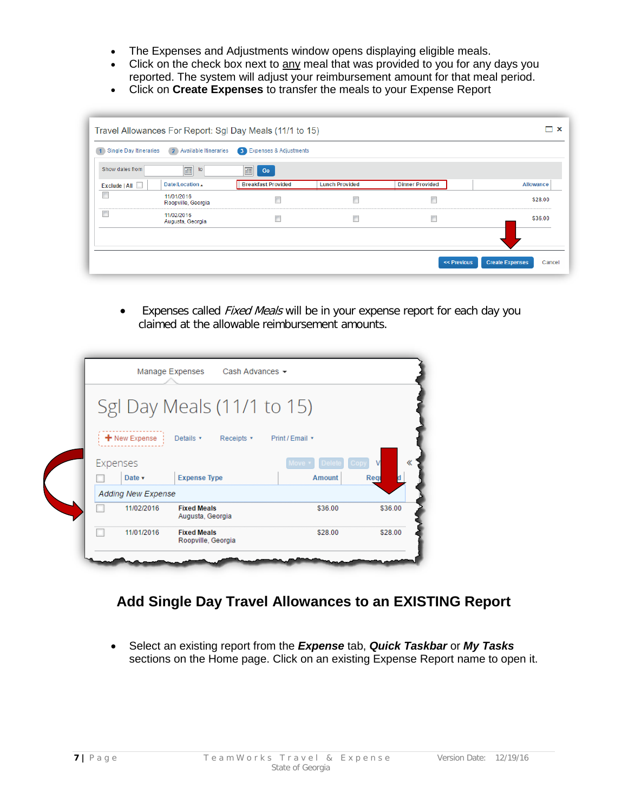- The Expenses and Adjustments window opens displaying eligible meals.
- Click on the check box next to any meal that was provided to you for any days you reported. The system will adjust your reimbursement amount for that meal period.
- Click on **Create Expenses** to transfer the meals to your Expense Report

| 1 Single Day Itineraries | 2 Available Itineraries          | <b>3</b> Expenses & Adjustments |                       |                        |           |
|--------------------------|----------------------------------|---------------------------------|-----------------------|------------------------|-----------|
| Show dates from          | $\blacksquare$<br>to             | E<br>Go                         |                       |                        |           |
| Exclude   All            | Date/Location ▲                  | <b>Breakfast Provided</b>       | <b>Lunch Provided</b> | <b>Dinner Provided</b> | Allowance |
| $\Box$                   | 11/01/2016<br>Roopville, Georgia | Г                               | F                     |                        | \$28.00   |
| E                        | 11/02/2016<br>Augusta, Georgia   | П                               | $\Box$                | П                      | \$36.00   |
|                          |                                  |                                 |                       |                        |           |

• Expenses called Fixed Meals will be in your expense report for each day you claimed at the allowable reimbursement amounts.

|          |                           | Sgl Day Meals (11/1 to 15)             |                 |         |
|----------|---------------------------|----------------------------------------|-----------------|---------|
|          |                           |                                        |                 |         |
|          | $+$ New Expense           | Details v Receipts v                   | Print / Email * |         |
| Expenses |                           |                                        | Move<br>Delete  | ν       |
|          | Date v                    | <b>Expense Type</b>                    | Amount          | Reg     |
|          | <b>Adding New Expense</b> |                                        |                 |         |
|          | 11/02/2016                | <b>Fixed Meals</b><br>Augusta, Georgia | \$36.00         | \$36.00 |
|          |                           |                                        |                 | \$28.00 |

## **Add Single Day Travel Allowances to an EXISTING Report**

• Select an existing report from the *Expense* tab, *Quick Taskbar* or *My Tasks* sections on the Home page. Click on an existing Expense Report name to open it.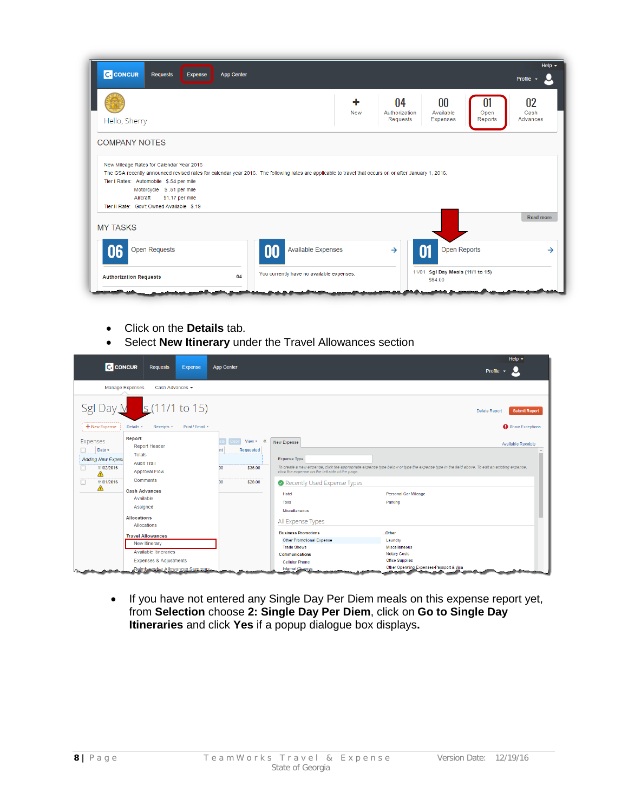| <b>C.</b> CONCUR<br>Requests<br>Expense                                                                                                                                                           | <b>App Center</b> |                           |                 |                                        |                                        |                       | Help $\sim$<br>Profile $\sim$ |
|---------------------------------------------------------------------------------------------------------------------------------------------------------------------------------------------------|-------------------|---------------------------|-----------------|----------------------------------------|----------------------------------------|-----------------------|-------------------------------|
| Hello, Sherry                                                                                                                                                                                     |                   |                           | ٠<br><b>New</b> | 04<br>Authorization<br><b>Requests</b> | $00\,$<br>Available<br><b>Expenses</b> | 01<br>Open<br>Reports | 02<br>Cash<br>Advances        |
| <b>COMPANY NOTES</b><br>New Mileage Rates for Calendar Year 2016                                                                                                                                  |                   |                           |                 |                                        |                                        |                       |                               |
| The GSA recently announced revised rates for calendar year 2016. The following rates are applicable to travel that occurs on or after January 1, 2016.<br>Tier I Rates: Automobile \$.54 per mile |                   |                           |                 |                                        |                                        |                       |                               |
| Motorcycle \$.51 per mile<br>Aircraft<br>\$1.17 per mile                                                                                                                                          |                   |                           |                 |                                        |                                        |                       |                               |
| Tier II Rate: Gov't Owned Available \$.19<br><b>MY TASKS</b>                                                                                                                                      |                   |                           |                 |                                        |                                        |                       | <b>Read more</b>              |
| <b>Open Requests</b><br>16                                                                                                                                                                        |                   | <b>Available Expenses</b> |                 | $\rightarrow$                          |                                        | <b>Open Reports</b>   | →                             |

- Click on the **Details** tab.
- Select **New Itinerary** under the Travel Allowances section



• If you have not entered any Single Day Per Diem meals on this expense report yet, from **Selection** choose **2: Single Day Per Diem**, click on **Go to Single Day Itineraries** and click **Yes** if a popup dialogue box displays**.**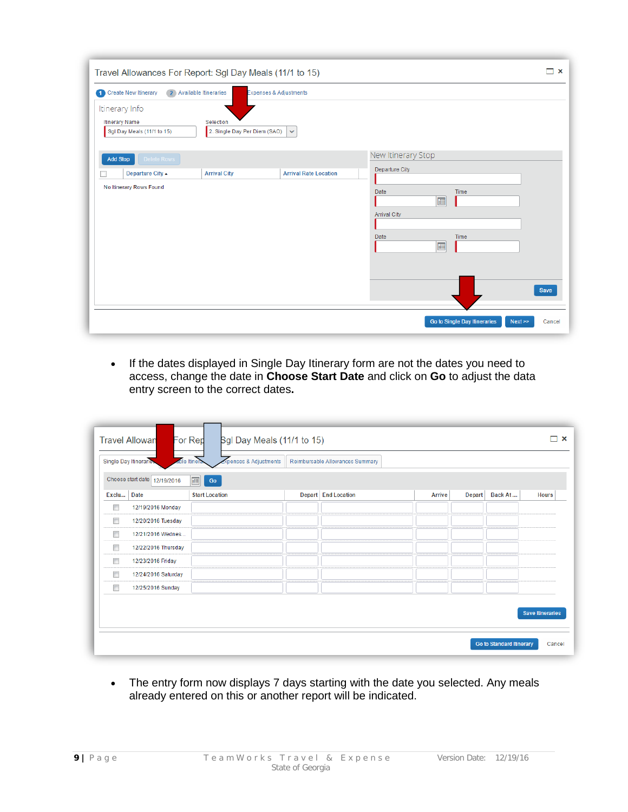| Travel Allowances For Report: Sgl Day Meals (11/1 to 15)              |                                           |                              |                                                                |                                      | □ ×         |
|-----------------------------------------------------------------------|-------------------------------------------|------------------------------|----------------------------------------------------------------|--------------------------------------|-------------|
| 2 Available Itineraries<br><b>1</b> Create New Itinerary              | <b>Expenses &amp; Adjustments</b>         |                              |                                                                |                                      |             |
| Itinerary Info<br><b>Itinerary Name</b><br>Sgl Day Meals (11/1 to 15) | Selection<br>2. Single Day Per Diem (SAO) | $\checkmark$                 |                                                                |                                      |             |
| Delete Rows<br><b>Add Stop</b>                                        |                                           |                              | New Itinerary Stop                                             |                                      |             |
| <b>Departure City ▲</b>                                               | <b>Arrival City</b>                       | <b>Arrival Rate Location</b> | Departure City                                                 |                                      |             |
| No Itinerary Rows Found                                               |                                           |                              | Date<br>画<br><b>Arrival City</b><br>Date<br>$\boxed{\boxplus}$ | Time<br>Time                         | <b>Save</b> |
|                                                                       |                                           |                              |                                                                | Go to Single Day Itineraries<br>Next | Cancel      |

• If the dates displayed in Single Day Itinerary form are not the dates you need to access, change the date in **Choose Start Date** and click on **Go** to adjust the data entry screen to the correct dates**.**

|                      | Choose start date 12/19/2016 | 画<br>Go               |                     |               |               |         |              |
|----------------------|------------------------------|-----------------------|---------------------|---------------|---------------|---------|--------------|
| Exclu                | <b>Date</b>                  | <b>Start Location</b> | Depart End Location | <b>Arrive</b> | <b>Depart</b> | Back At | <b>Hours</b> |
| Г                    | 12/19/2016 Monday            |                       |                     |               |               |         |              |
| $\Box$               | 12/20/2016 Tuesday           |                       |                     |               |               |         |              |
| $\Box$               | 12/21/2016 Wednes            |                       |                     |               |               |         |              |
| □                    | 12/22/2016 Thursday          |                       |                     |               |               |         |              |
| $\qquad \qquad \Box$ | 12/23/2016 Friday            |                       |                     |               |               |         |              |
| $\Box$               | 12/24/2016 Saturday          |                       |                     |               |               |         |              |
| Г                    | 12/25/2016 Sunday            |                       |                     |               |               |         |              |

• The entry form now displays 7 days starting with the date you selected. Any meals already entered on this or another report will be indicated.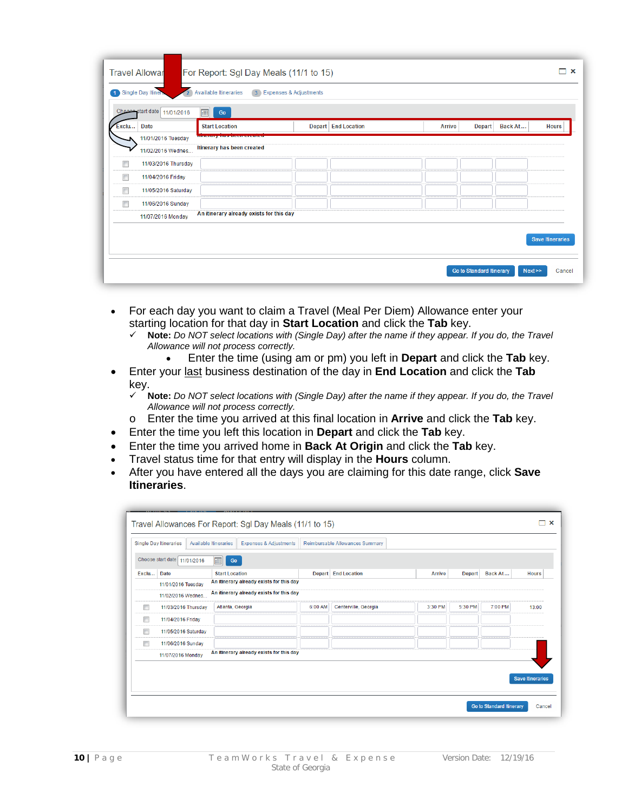|                                        | <b>Travel Allowar</b><br>1 Single Day Itiner<br>$\overline{2}$ | For Report: Sgl Day Meals (11/1 to 15)<br><b>Available Itineraries</b> | 3 Expenses & Adjustments |                     |               |                          |                         |
|----------------------------------------|----------------------------------------------------------------|------------------------------------------------------------------------|--------------------------|---------------------|---------------|--------------------------|-------------------------|
|                                        | Choose start date 11/01/2016                                   | 画<br>Go                                                                |                          |                     |               |                          |                         |
| Exclu                                  | <b>Date</b>                                                    | <b>Start Location</b>                                                  |                          | Depart End Location | <b>Arrive</b> | Back At<br><b>Depart</b> | <b>Hours</b>            |
|                                        | 11/01/2016 Tuesday                                             | <b>INTERFERED ENTRY PARTIE PERSONAL</b>                                |                          |                     |               |                          |                         |
|                                        | 11/02/2016 Wednes                                              | Itinerary has been created                                             |                          |                     |               |                          |                         |
| $\Box$                                 | 11/03/2016 Thursday                                            |                                                                        |                          |                     |               |                          |                         |
| $\Box$                                 | 11/04/2016 Friday                                              |                                                                        |                          |                     |               |                          |                         |
| F                                      | 11/05/2016 Saturday                                            |                                                                        |                          |                     |               |                          |                         |
| $\begin{array}{c} \square \end{array}$ | 11/06/2016 Sunday                                              |                                                                        |                          |                     |               |                          |                         |
|                                        | 11/07/2016 Monday                                              | An itinerary already exists for this day                               |                          |                     |               |                          |                         |
|                                        |                                                                |                                                                        |                          |                     |               |                          | <b>Save Itineraries</b> |
|                                        |                                                                |                                                                        |                          |                     |               |                          |                         |

- For each day you want to claim a Travel (Meal Per Diem) Allowance enter your starting location for that day in **Start Location** and click the **Tab** key.
	- **Note:** *Do NOT select locations with (Single Day) after the name if they appear. If you do, the Travel Allowance will not process correctly.*
		- Enter the time (using am or pm) you left in **Depart** and click the **Tab** key.
- Enter your last business destination of the day in **End Location** and click the **Tab**  $key.$ 
	- **Note:** *Do NOT select locations with (Single Day) after the name if they appear. If you do, the Travel Allowance will not process correctly.*
	- o Enter the time you arrived at this final location in **Arrive** and click the **Tab** key.
- Enter the time you left this location in **Depart** and click the **Tab** key.
- Enter the time you arrived home in **Back At Origin** and click the **Tab** key.
- Travel status time for that entry will display in the **Hours** column.
- After you have entered all the days you are claiming for this date range, click **Save Itineraries**.

|        | <b>Single Day Itineraries</b> | <b>Available Itineraries</b> | <b>Expenses &amp; Adjustments</b>        |               | Reimbursable Allowances Summary |               |               |         |                         |
|--------|-------------------------------|------------------------------|------------------------------------------|---------------|---------------------------------|---------------|---------------|---------|-------------------------|
|        | Choose start date 11/01/2016  | 冊<br>Go                      |                                          |               |                                 |               |               |         |                         |
| Exclu  | Date                          | <b>Start Location</b>        |                                          | <b>Depart</b> | <b>End Location</b>             | <b>Arrive</b> | <b>Depart</b> | Back At | <b>Hours</b>            |
|        | 11/01/2016 Tuesday            |                              | An itinerary already exists for this day |               |                                 |               |               |         |                         |
|        | 11/02/2016 Wednes             |                              | An itinerary already exists for this day |               |                                 |               |               |         |                         |
| П      | 11/03/2016 Thursday           | Atlanta, Georgia             |                                          | 6:00 AM       | Centerville, Georgia            | 3:30 PM       | 5:30 PM       | 7:00 PM | 13:00                   |
| $\Box$ | 11/04/2016 Friday             |                              |                                          |               |                                 |               |               |         |                         |
| $\Box$ | 11/05/2016 Saturday           |                              |                                          |               |                                 |               |               |         |                         |
| Г      | 11/06/2016 Sunday             |                              |                                          |               |                                 |               |               |         |                         |
|        | 11/07/2016 Monday             |                              | An itinerary already exists for this day |               |                                 |               |               |         |                         |
|        |                               |                              |                                          |               |                                 |               |               |         |                         |
|        |                               |                              |                                          |               |                                 |               |               |         | <b>Save Itineraries</b> |
|        |                               |                              |                                          |               |                                 |               |               |         |                         |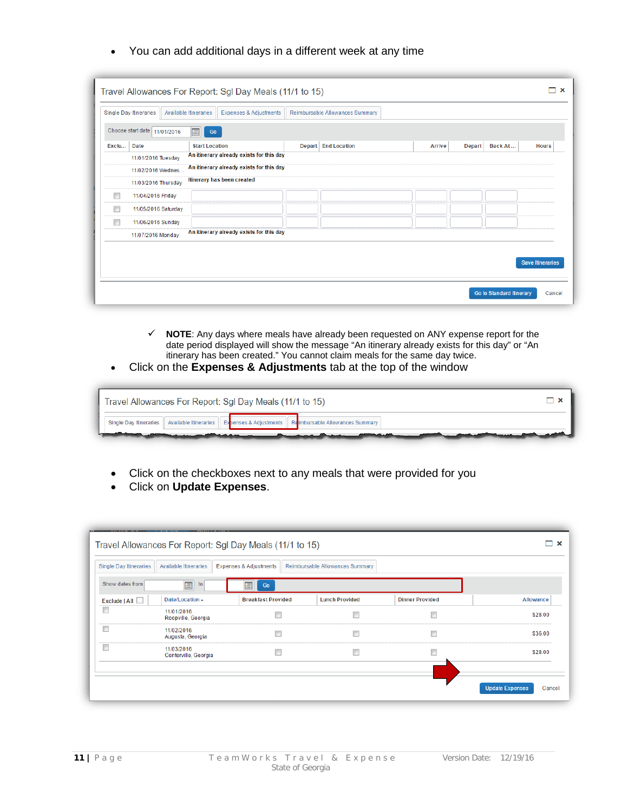• You can add additional days in a different week at any time

|        |                              | Travel Allowances For Report: Sgl Day Meals (11/1 to 15)   |               |                                 |               |               |                                 | $\boldsymbol{\mathsf{x}}$ |
|--------|------------------------------|------------------------------------------------------------|---------------|---------------------------------|---------------|---------------|---------------------------------|---------------------------|
|        | Single Day Itineraries       | Available Itineraries<br><b>Expenses &amp; Adjustments</b> |               | Reimbursable Allowances Summary |               |               |                                 |                           |
|        | Choose start date 11/01/2016 | 画<br>$\rm{Go}$                                             |               |                                 |               |               |                                 |                           |
| Exclu  | <b>Date</b>                  | <b>Start Location</b>                                      | <b>Depart</b> | <b>End Location</b>             | <b>Arrive</b> | <b>Depart</b> | Back At                         | <b>Hours</b>              |
|        | 11/01/2016 Tuesday           | An itinerary already exists for this day                   |               |                                 |               |               |                                 |                           |
|        | 11/02/2016 Wednes            | An itinerary already exists for this day                   |               |                                 |               |               |                                 |                           |
|        | 11/03/2016 Thursday          | Itinerary has been created                                 |               |                                 |               |               |                                 |                           |
| $\Box$ | 11/04/2016 Friday            |                                                            |               |                                 |               |               |                                 |                           |
| $\Box$ | 11/05/2016 Saturday          |                                                            |               |                                 |               |               |                                 |                           |
| $\Box$ | 11/06/2016 Sunday            |                                                            |               |                                 |               |               |                                 |                           |
|        | 11/07/2016 Monday            | An itinerary already exists for this day                   |               |                                 |               |               |                                 |                           |
|        |                              |                                                            |               |                                 |               |               |                                 |                           |
|        |                              |                                                            |               |                                 |               |               |                                 | <b>Save Itineraries</b>   |
|        |                              |                                                            |               |                                 |               |               |                                 |                           |
|        |                              |                                                            |               |                                 |               |               | <b>Go to Standard Itinerary</b> | Cancel                    |

- **NOTE**: Any days where meals have already been requested on ANY expense report for the date period displayed will show the message "An itinerary already exists for this day" or "An itinerary has been created." You cannot claim meals for the same day twice.
- Click on the **Expenses & Adjustments** tab at the top of the window

| Travel Allowances For Report: Sgl Day Meals (11/1 to 15)                                                                                                                                                                                                                                                                                                                                                                                                                                                                                                                                                                                                                                                             |  |
|----------------------------------------------------------------------------------------------------------------------------------------------------------------------------------------------------------------------------------------------------------------------------------------------------------------------------------------------------------------------------------------------------------------------------------------------------------------------------------------------------------------------------------------------------------------------------------------------------------------------------------------------------------------------------------------------------------------------|--|
| Single Day Itineraries   Available Itineraries  <br><b>Expenses &amp; Adjustments   Reimbursable Allowances Summary</b>                                                                                                                                                                                                                                                                                                                                                                                                                                                                                                                                                                                              |  |
| <u>e an an Aonaichte an an Aonaichte an an Aonaichte an an Aonaichte an an Aonaichte an an Aonaichte an an Aonaichte an Aonaichte an Aonaichte an Aonaichte an Aonaichte an Aonaichte an Aonaichte an Aonaichte an Aonaichte an </u><br><u>the contract of the contract of the contract of the contract of the contract of the contract of the contract of the contract of the contract of the contract of the contract of the contract of the contract of the contract </u><br><u>and the companion of the companion of the companion of the companion of the companion of the companion of the companion of the companion of the companion of the companion of the companion of the companion of the companion</u> |  |

- Click on the checkboxes next to any meals that were provided for you
- Click on **Update Expenses**.

| Single Day Itineraries | Available Itineraries              | <b>Expenses &amp; Adjustments</b> | Reimbursable Allowances Summary |                        |           |
|------------------------|------------------------------------|-----------------------------------|---------------------------------|------------------------|-----------|
| Show dates from        | $\boxed{\boxplus}$<br>to           | 靊<br>Go                           |                                 |                        |           |
| Exclude   All          | Date/Location ▲                    | <b>Breakfast Provided</b>         | <b>Lunch Provided</b>           | <b>Dinner Provided</b> | Allowance |
| $\Box$                 | 11/01/2016<br>Roopville, Georgia   | $\Box$                            | $\Box$                          | $\Box$                 | \$28.00   |
|                        | 11/02/2016<br>Augusta, Georgia     | $\Box$                            | $\Box$                          | $\Box$                 | \$36.00   |
|                        | 11/03/2016<br>Centerville, Georgia | $\Box$                            | $\Box$                          | $\Box$                 | \$28.00   |
|                        |                                    |                                   |                                 |                        |           |